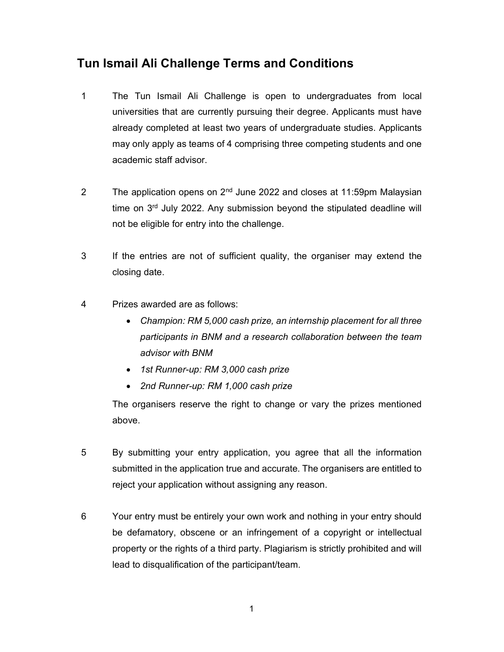## Tun Ismail Ali Challenge Terms and Conditions

- 1 The Tun Ismail Ali Challenge is open to undergraduates from local universities that are currently pursuing their degree. Applicants must have already completed at least two years of undergraduate studies. Applicants may only apply as teams of 4 comprising three competing students and one academic staff advisor.
- 2 The application opens on 2<sup>nd</sup> June 2022 and closes at 11:59pm Malaysian time on  $3<sup>rd</sup>$  July 2022. Any submission beyond the stipulated deadline will not be eligible for entry into the challenge.
- 3 If the entries are not of sufficient quality, the organiser may extend the closing date.
- 4 Prizes awarded are as follows:
	- Champion: RM 5,000 cash prize, an internship placement for all three participants in BNM and a research collaboration between the team advisor with BNM
	- 1st Runner-up: RM 3,000 cash prize
	- 2nd Runner-up: RM 1,000 cash prize

The organisers reserve the right to change or vary the prizes mentioned above.

- 5 By submitting your entry application, you agree that all the information submitted in the application true and accurate. The organisers are entitled to reject your application without assigning any reason.
- 6 Your entry must be entirely your own work and nothing in your entry should be defamatory, obscene or an infringement of a copyright or intellectual property or the rights of a third party. Plagiarism is strictly prohibited and will lead to disqualification of the participant/team.